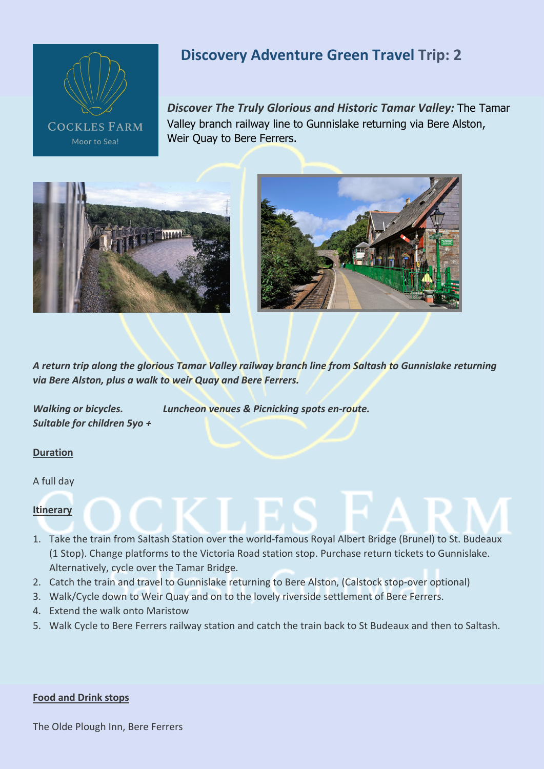

# **Discovery Adventure Green Travel Trip: 2**

*Discover The Truly Glorious and Historic Tamar Valley:* The Tamar Valley branch railway line to Gunnislake returning via Bere Alston, Weir Quay to Bere Ferrers.





*A return trip along the glorious Tamar Valley railway branch line from Saltash to Gunnislake returning via Bere Alston, plus a walk to weir Quay and Bere Ferrers.*

*Walking or bicycles. Luncheon venues & Picnicking spots en-route. Suitable for children 5yo +*

### **Duration**

A full day

#### **Itinerary**

- 1. Take the train from Saltash Station over the world-famous Royal Albert Bridge (Brunel) to St. Budeaux (1 Stop). Change platforms to the Victoria Road station stop. Purchase return tickets to Gunnislake. Alternatively, cycle over the Tamar Bridge.
- 2. Catch the train and travel to Gunnislake returning to Bere Alston, (Calstock stop-over optional)
- 3. Walk/Cycle down to Weir Quay and on to the lovely riverside settlement of Bere Ferrers.
- 4. Extend the walk onto Maristow
- 5. Walk Cycle to Bere Ferrers railway station and catch the train back to St Budeaux and then to Saltash.

#### **Food and Drink stops**

The Olde Plough Inn, Bere Ferrers